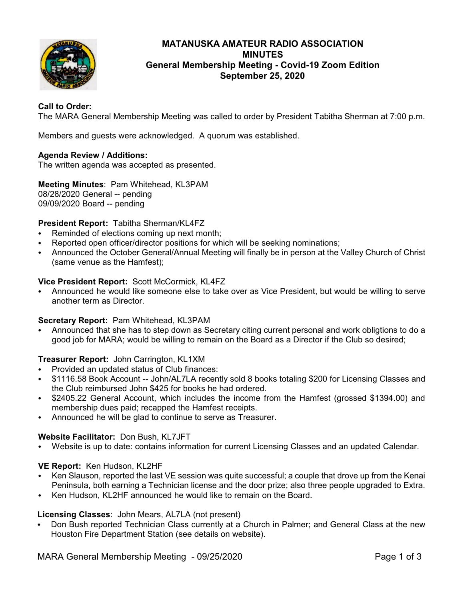

# **MATANUSKA AMATEUR RADIO ASSOCIATION MINUTES General Membership Meeting - Covid-19 Zoom Edition September 25, 2020**

# **Call to Order:**

The MARA General Membership Meeting was called to order by President Tabitha Sherman at 7:00 p.m.

Members and guests were acknowledged. A quorum was established.

## **Agenda Review / Additions:**

The written agenda was accepted as presented.

**Meeting Minutes**: Pam Whitehead, KL3PAM 08/28/2020 General -- pending 09/09/2020 Board -- pending

## **President Report:** Tabitha Sherman/KL4FZ

- Reminded of elections coming up next month;
- Reported open officer/director positions for which will be seeking nominations;
- C Announced the October General/Annual Meeting will finally be in person at the Valley Church of Christ (same venue as the Hamfest);

### **Vice President Report:** Scott McCormick, KL4FZ

• Announced he would like someone else to take over as Vice President, but would be willing to serve another term as Director.

### **Secretary Report:** Pam Whitehead, KL3PAM

Announced that she has to step down as Secretary citing current personal and work obligtions to do a good job for MARA; would be willing to remain on the Board as a Director if the Club so desired;

### **Treasurer Report:** John Carrington, KL1XM

- Provided an updated status of Club finances:
- \$1116.58 Book Account -- John/AL7LA recently sold 8 books totaling \$200 for Licensing Classes and the Club reimbursed John \$425 for books he had ordered.
- \$2405.22 General Account, which includes the income from the Hamfest (grossed \$1394.00) and membership dues paid; recapped the Hamfest receipts.
- Announced he will be glad to continue to serve as Treasurer.

### **Website Facilitator:** Don Bush, KL7JFT

Website is up to date: contains information for current Licensing Classes and an updated Calendar.

### **VE Report:** Ken Hudson, KL2HF

- Ken Slauson, reported the last VE session was quite successful; a couple that drove up from the Kenai Peninsula, both earning a Technician license and the door prize; also three people upgraded to Extra.
- Ken Hudson, KL2HF announced he would like to remain on the Board.

### **Licensing Classes**: John Mears, AL7LA (not present)

• Don Bush reported Technician Class currently at a Church in Palmer; and General Class at the new Houston Fire Department Station (see details on website).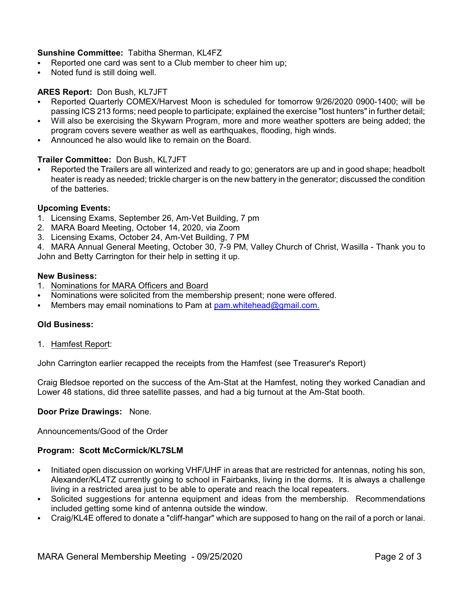# **Sunshine Committee:** Tabitha Sherman, KL4FZ

- Reported one card was sent to a Club member to cheer him up;
- Noted fund is still doing well.

# **ARES Report:** Don Bush, KL7JFT

- C Reported Quarterly COMEX/Harvest Moon is scheduled for tomorrow 9/26/2020 0900-1400; will be passing ICS 213 forms; need people to participate; explained the exercise "lost hunters" in further detail;
- Will also be exercising the Skywarn Program, more and more weather spotters are being added; the program covers severe weather as well as earthquakes, flooding, high winds.
- Announced he also would like to remain on the Board.

## **Trailer Committee:** Don Bush, KL7JFT

Reported the Trailers are all winterized and ready to go; generators are up and in good shape; headbolt heater is ready as needed; trickle charger is on the new battery in the generator; discussed the condition of the batteries.

### **Upcoming Events:**

- 1. Licensing Exams, September 26, Am-Vet Building, 7 pm
- 2. MARA Board Meeting, October 14, 2020, via Zoom
- 3. Licensing Exams, October 24, Am-Vet Building, 7 PM

4. MARA Annual General Meeting, October 30, 7-9 PM, Valley Church of Christ, Wasilla - Thank you to John and Betty Carrington for their help in setting it up.

#### **New Business:**

- 1. Nominations for MARA Officers and Board
- Nominations were solicited from the membership present; none were offered.
- Members may email nominations to Pam at  $pam.whitehead@gmail.com$ .

### **Old Business:**

1. Hamfest Report:

John Carrington earlier recapped the receipts from the Hamfest (see Treasurer's Report)

Craig Bledsoe reported on the success of the Am-Stat at the Hamfest, noting they worked Canadian and Lower 48 stations, did three satellite passes, and had a big turnout at the Am-Stat booth.

### **Door Prize Drawings:** None.

Announcements/Good of the Order

### **Program: Scott McCormick/KL7SLM**

- Initiated open discussion on working VHF/UHF in areas that are restricted for antennas, noting his son, Alexander/KL4TZ currently going to school in Fairbanks, living in the dorms. It is always a challenge living in a restricted area just to be able to operate and reach the local repeaters.
- Solicited suggestions for antenna equipment and ideas from the membership. Recommendations included getting some kind of antenna outside the window.
- Craig/KL4E offered to donate a "cliff-hangar" which are supposed to hang on the rail of a porch or lanai.